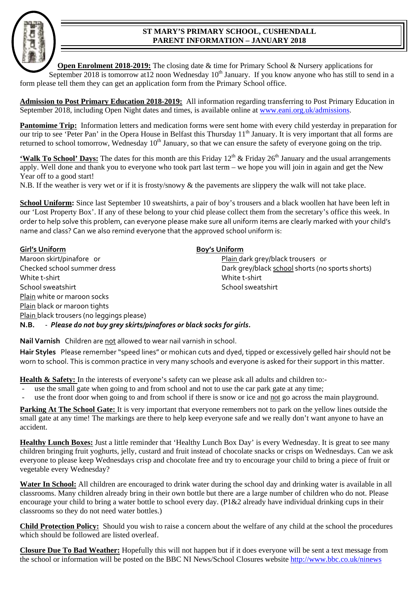## **ST MARY'S PRIMARY SCHOOL, CUSHENDALL PARENT INFORMATION – JANUARY 2018**



**Open Enrolment 2018-2019:** The closing date & time for Primary School & Nursery applications for September 2018 is tomorrow at 12 noon Wednesday  $10^{th}$  January. If you know anyone who has still to send in a form please tell them they can get an application form from the Primary School office.

**Admission to Post Primary Education 2018-2019:** All information regarding transferring to Post Primary Education in September 2018, including Open Night dates and times, is available online at www.eani.org.uk/admissions.

**Pantomime Trip:** Information letters and medication forms were sent home with every child yesterday in preparation for our trip to see 'Peter Pan' in the Opera House in Belfast this Thursday 11<sup>th</sup> January. It is very important that all forms are returned to school tomorrow. Wednesday  $10<sup>th</sup>$  January, so that we can ensure the safety of everyone going on the trip.

**'Walk To School' Days:** The dates for this month are this Friday 12<sup>th</sup> & Friday 26<sup>th</sup> January and the usual arrangements apply. Well done and thank you to everyone who took part last term – we hope you will join in again and get the New Year off to a good start!

N.B. If the weather is very wet or if it is frosty/snowy & the pavements are slippery the walk will not take place.

**School Uniform:** Since last September 10 sweatshirts, a pair of boy's trousers and a black woollen hat have been left in our 'Lost Property Box'. If any of these belong to your chid please collect them from the secretary's office this week. In order to help solve this problem, can everyone please make sure all uniform items are clearly marked with your child's name and class? Can we also remind everyone that the approved school uniform is:

| <b>Girl's Uniform</b>                                                       | <b>Boy's Uniform</b>                             |
|-----------------------------------------------------------------------------|--------------------------------------------------|
| Maroon skirt/pinafore or                                                    | Plain dark grey/black trousers or                |
| Checked school summer dress                                                 | Dark grey/black school shorts (no sports shorts) |
| White t-shirt                                                               | White t-shirt                                    |
| School sweatshirt                                                           | School sweatshirt                                |
| Plain white or maroon socks                                                 |                                                  |
| Plain black or maroon tights                                                |                                                  |
| Plain black trousers (no leggings please)                                   |                                                  |
| - Please do not buy grey skirts/pinafores or black socks for girls.<br>N.B. |                                                  |

**Nail Varnish** Children are not allowed to wear nail varnish in school.

**Hair Styles** Please remember "speed lines" or mohican cuts and dyed, tipped or excessively gelled hair should not be worn to school. This is common practice in very many schools and everyone is asked for their support in this matter.

**Health & Safety:** In the interests of everyone's safety can we please ask all adults and children to:-

- use the small gate when going to and from school and not to use the car park gate at any time;
- use the front door when going to and from school if there is snow or ice and not go across the main playground.

**Parking At The School Gate:** It is very important that everyone remembers not to park on the yellow lines outside the small gate at any time! The markings are there to help keep everyone safe and we really don't want anyone to have an accident.

**Healthy Lunch Boxes:** Just a little reminder that 'Healthy Lunch Box Day' is every Wednesday. It is great to see many children bringing fruit yoghurts, jelly, custard and fruit instead of chocolate snacks or crisps on Wednesdays. Can we ask everyone to please keep Wednesdays crisp and chocolate free and try to encourage your child to bring a piece of fruit or vegetable every Wednesday?

**Water In School:** All children are encouraged to drink water during the school day and drinking water is available in all classrooms. Many children already bring in their own bottle but there are a large number of children who do not. Please encourage your child to bring a water bottle to school every day. (P1&2 already have individual drinking cups in their classrooms so they do not need water bottles.)

**Child Protection Policy:** Should you wish to raise a concern about the welfare of any child at the school the procedures which should be followed are listed overleaf.

**Closure Due To Bad Weather:** Hopefully this will not happen but if it does everyone will be sent a text message from the school or information will be posted on the BBC NI News/School Closures website http://www.bbc.co.uk/ninews